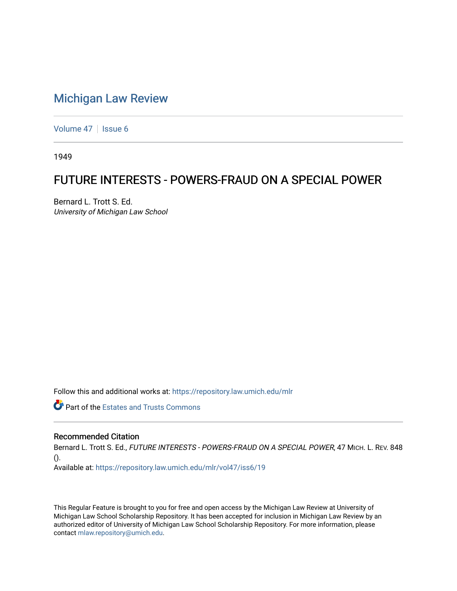## [Michigan Law Review](https://repository.law.umich.edu/mlr)

[Volume 47](https://repository.law.umich.edu/mlr/vol47) | [Issue 6](https://repository.law.umich.edu/mlr/vol47/iss6)

1949

## FUTURE INTERESTS - POWERS-FRAUD ON A SPECIAL POWER

Bernard L. Trott S. Ed. University of Michigan Law School

Follow this and additional works at: [https://repository.law.umich.edu/mlr](https://repository.law.umich.edu/mlr?utm_source=repository.law.umich.edu%2Fmlr%2Fvol47%2Fiss6%2F19&utm_medium=PDF&utm_campaign=PDFCoverPages) 

**Part of the Estates and Trusts Commons** 

## Recommended Citation

Bernard L. Trott S. Ed., FUTURE INTERESTS - POWERS-FRAUD ON A SPECIAL POWER, 47 MICH. L. REV. 848 ().

Available at: [https://repository.law.umich.edu/mlr/vol47/iss6/19](https://repository.law.umich.edu/mlr/vol47/iss6/19?utm_source=repository.law.umich.edu%2Fmlr%2Fvol47%2Fiss6%2F19&utm_medium=PDF&utm_campaign=PDFCoverPages) 

This Regular Feature is brought to you for free and open access by the Michigan Law Review at University of Michigan Law School Scholarship Repository. It has been accepted for inclusion in Michigan Law Review by an authorized editor of University of Michigan Law School Scholarship Repository. For more information, please contact [mlaw.repository@umich.edu](mailto:mlaw.repository@umich.edu).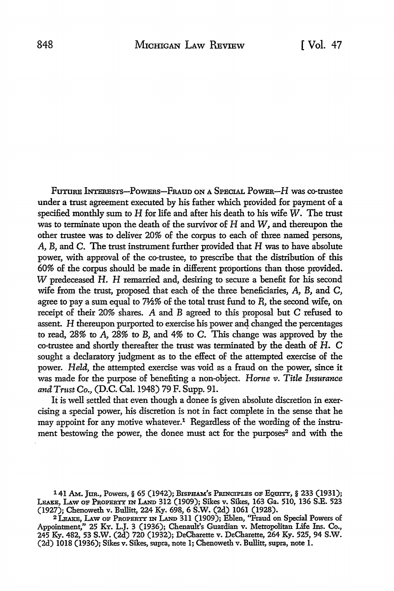FUTURE INTERESTS-POWERS-FRAUD ON A SPECIAL POWER-H was co-trustee under a trust agreement executed by his father which provided for payment of a specified monthly sum to H for life and after his death to his wife *W.* The trust was to terminate upon the death of the survivor of H and *W,* and thereupon the other trustee was to deliver 20% of the corpus to each of three named persons, A, B, and C. The trust instrument further provided that H was to have absolute power, with approval of the co-trustee, to prescribe that the distribution of this 60% of the corpus should be made in different proportions than those provided. W predeceased H. H remarried and, desiring to secure a benefit for his second wife from the trust, proposed that each of the three beneficiaries, A, B, and C, agree to pay a sum equal to 7½% of the total trust fund to *R,* the second wife, on receipt of their 20% shares. A and B agreed to this proposal but C refused to assent. H thereupon purported to exercise his power and changed the percentages to read, 28% to A, 28% to B, and 4% to C. This change was approved by the co-trustee and shortly thereafter the trust was terminated by the death of H. C sought a declaratory judgment as to the effect of the attempted exercise of the power. *Held,* the attempted exercise was void as a fraud on the power, since it was made for the purpose of benefiting a non-object. *Horne v. Title Insurance and Tmst Co.,* (D.C. Cal. 1948) 79 F. Supp. 91.

It is well settled that even though a donee is given absolute discretion in exercising a special power, his discretion is not in fact complete in the sense that he may appoint for any motive whatever.<sup>1</sup> Regardless of the wording of the instrument bestowing the power, the donee must act for the purposes<sup>2</sup> and with the

<sup>141</sup> Am. Jur., Powers, § 65 (1942); BISPHAM's Principles of Equity, § 233 (1931); LEAKE, LAW OF PROPERTY IN LAND 312 (1909); Sikes v. Sikes, 163 Ga. 510, 136 S.E. 523 (1927); Chenoweth v. Bullitt, 224 Ky. 698, 6 S.W. (2d) 1061 (1928).

<sup>2</sup> l.EAxE, I.Aw oF PROPERTY IN LAND 311 (1909); Eblen, "Fraud on Special Powers of Appointment," 25 KY. L.J. 3 (1936); Chenault's Guardian v. Metropolitan Life Ins. Co., 245 Ky. 482, 53 S.W. (2d) 720 (1932); DeCharette v. DeCharette, 264 Ky. 525, 94 S.W. (2d) 1018 (1936); Sikes v. Sikes, supra, note l; Chenoweth v. Bullitt, supra, note 1.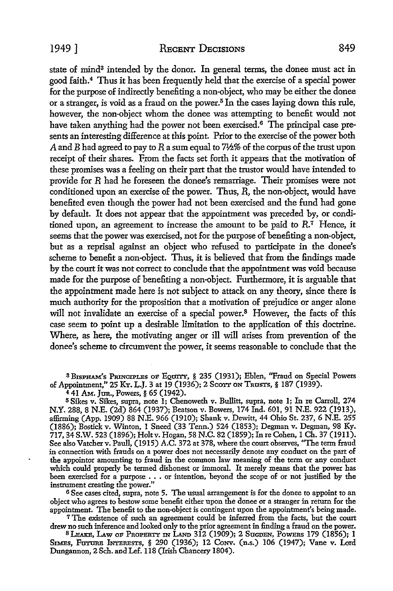state of mind<sup>3</sup> intended by the donor. In general terms, the donee must act in good faith.<sup>4</sup>Thus it has been frequently held that the exercise of a special power for the purpose of indirectly benefiting a non-object, who may be either the donee or a stranger, is void as a fraud on the power.5 In the cases laying down this rule, however, the non-object whom the donee was attempting to benefit would not have taken anything had the power not been exercised.<sup>6</sup> The principal case presents an interesting difference at this point Prior to the exercise of the power both A and B had agreed to pay to R a sum equal to 7½% of the corpus of the trust upon receipt of their shares. From the facts set forth it appears that the motivation of these promises was a feeling on their part that the trustor would have intended to provide for *R* had he foreseen the donee's remarriage. Their promises were not conditioned upon an exercise of the power. Thus,  $\overline{R}$ , the non-object, would have benefited even though the power had not been exercised and the fund had gone by default. It does not appear that the appointment was preceded by, or conditioned upon, an agreement to increase the amount to be paid to  $R$ .<sup>7</sup> Hence, it seems that the power was exercised, not for the purpose of benefiting a non-object, but as a reprisal against an object who refused to participate in the donee's scheme to benefit a non-object. Thus, it is believed that from the findings made by the court it was not correct to conclude that the appointment was void because made for the purpose of benefiting a non-object. Furthermore, it is arguable that the appointment made here is not subject to attack on any theory, since there is much authority for the proposition that a motivation of prejudice or anger alone will not invalidate an exercise of a special power.<sup>8</sup> However, the facts of this case seem to point up a desirable limitation to the application of this doctrine. Where, as here, the motivating anger or ill will arises from prevention of the donee's scheme to circumvent the power, it seems reasonable to conclude that the

<sup>3</sup> BISPHAM's PRINCIPLES OF EQUITY, § 235 (1931); Eblen, "Fraud on Special Powers of Appointment," 25 KY. L.J. 3 at 19 (1936); 2 ScOTr ON TRUSTS, § 187 (1939).

4 41 AM. Jun., Powers,§ 65 (1942).

<sup>5</sup>Sikes v. Sikes, supra, note l; Chenoweth v. Bullitt, supra, note l; In re Carroll, 274 N.Y. 288, 8 N.E. (2d) 864 (1937); Beatson v. Bowers, 174 Ind. 601, 91 N.E. 922 (1913), affirming (App. 1909) 88 N.E. 966 (1910); Shank v. Dewitt, 44 Ohio St. 237, 6 N.E. 255 (1886); Bostick v. Winton, l Sneed (33 Tenn.) 524 (1853); Degman v. Degman, 98 Ky. 717, 34 S.W. 523 (1896); Holt v. Hogan, 58 N.C. 82 (1859); In re Cohen, 1 Ch. 37 (1911). See also Vatcher v. Paull, (1915) A.C. 372 at 378, where the court observes, "The term fraud in connection with frauds on a power does not necessarily denote any conduct on the part of the appointor amounting to fraud in the common law meaning of the term or any conduct which could properly be termed dishonest or immoral. It merely means that the power has been exercised for a purpose • . . or intention, beyond the scope of or not justified by the instrument creating the power."

<sup>6</sup>See cases cited, supra, note 5. The usual arrangement is for the donee to appoint to an object who agrees to bestow some benefit either upon the donee or a stranger in return for the appointment. The benefit to the non-object is contingent upon the appointment's being made.

<sup>7</sup>The existence of such an agreement could be inferred from the facts, but the court drew no such inference and looked only to the prior agreement in finding a fraud on the power.

<sup>8</sup> Leake, Law of Property in Land 312 (1909); 2 Sugden, Powers 179 (1856); 1 SIMES, FUTURE INTERESTS, § 290 (1936); 12 CONV. (n.s.) 106 (1947); Vane v. Lord Dungannon, 2 Sch. and Le£. 118 (Irish Chancery 1804).